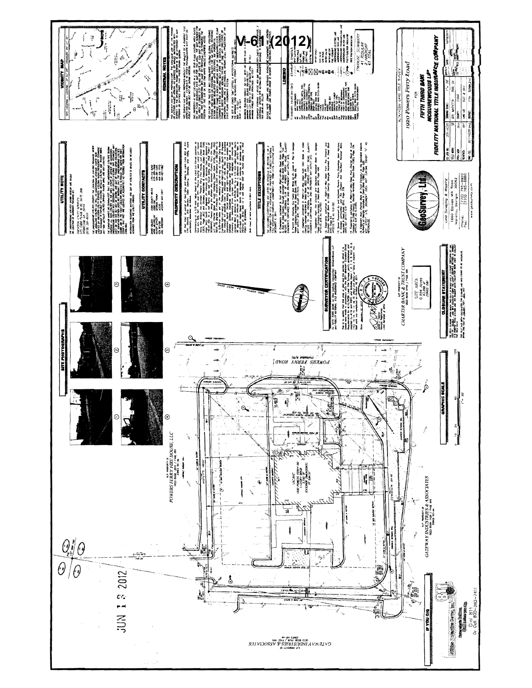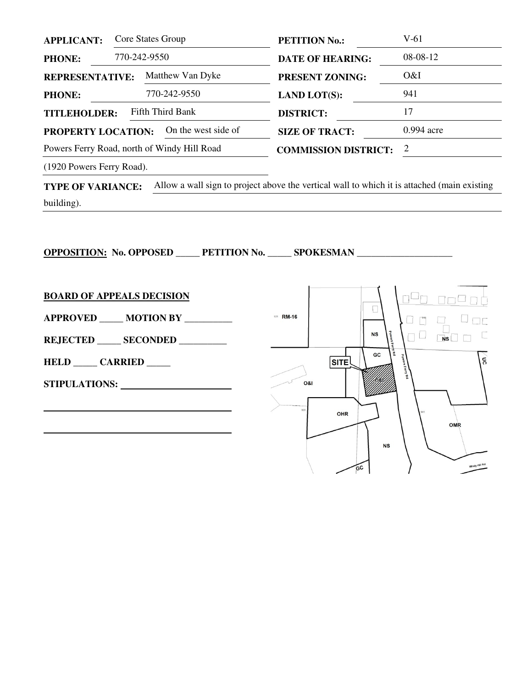| <b>APPLICANT:</b>                           | Core States Group   | <b>PETITION No.:</b>        | V-61         |
|---------------------------------------------|---------------------|-----------------------------|--------------|
| <b>PHONE:</b>                               | 770-242-9550        | <b>DATE OF HEARING:</b>     | 08-08-12     |
| <b>REPRESENTATIVE:</b>                      | Matthew Van Dyke    | <b>PRESENT ZONING:</b>      | O&I          |
| <b>PHONE:</b>                               | 770-242-9550        | <b>LAND LOT(S):</b>         | 941          |
| Fifth Third Bank<br><b>TITLEHOLDER:</b>     |                     | <b>DISTRICT:</b>            | 17           |
| PROPERTY LOCATION:                          | On the west side of | <b>SIZE OF TRACT:</b>       | $0.994$ acre |
| Powers Ferry Road, north of Windy Hill Road |                     | <b>COMMISSION DISTRICT:</b> | 2            |
|                                             |                     |                             |              |

(1920 Powers Ferry Road).

**TYPE OF VARIANCE:** Allow a wall sign to project above the vertical wall to which it is attached (main existing building).

**OPPOSITION: No. OPPOSED \_\_\_\_\_ PETITION No. \_\_\_\_\_ SPOKESMAN \_\_\_\_\_\_\_\_\_\_\_\_\_\_\_\_\_\_\_\_** 

**BOARD OF APPEALS DECISION** ıq **Orio**  $\Box$ **APPROVED \_\_\_\_\_ MOTION BY \_\_\_\_\_\_\_\_\_\_**  921 RM-16  $\begin{picture}(130,10) \put(0,0){\line(1,0){10}} \put(15,0){\line(1,0){10}} \put(15,0){\line(1,0){10}} \put(15,0){\line(1,0){10}} \put(15,0){\line(1,0){10}} \put(15,0){\line(1,0){10}} \put(15,0){\line(1,0){10}} \put(15,0){\line(1,0){10}} \put(15,0){\line(1,0){10}} \put(15,0){\line(1,0){10}} \put(15,0){\line(1,0){10}} \put(15,0){\line($  $\Box$   $\Box$ **NS** Ľ  $N$ s **REJECTED \_\_\_\_\_ SECONDED \_\_\_\_\_\_\_\_\_\_**  GC Å  $\mathfrak{g}$ **HELD \_\_\_\_\_ CARRIED \_\_\_\_\_ SITE STIPULATIONS:**  0&l   $92$ OHR OMR  **NS** Windy Hill Rd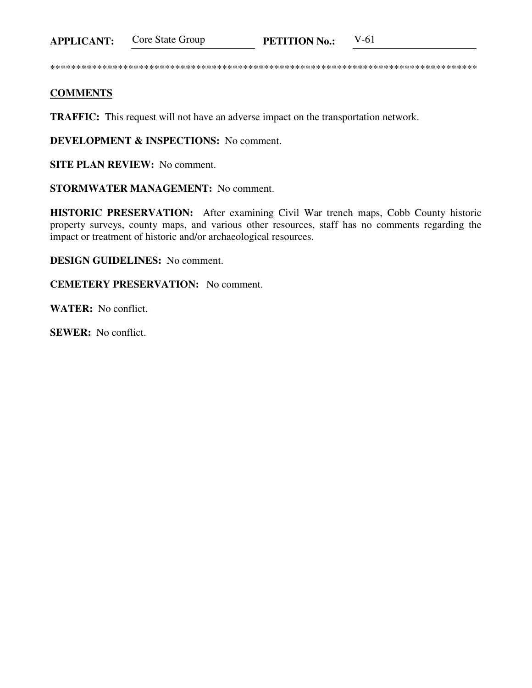Core State Group **APPLICANT: PETITION No.:** 

 $V-61$ 

## **COMMENTS**

**TRAFFIC:** This request will not have an adverse impact on the transportation network.

**DEVELOPMENT & INSPECTIONS:** No comment.

**SITE PLAN REVIEW:** No comment.

**STORMWATER MANAGEMENT:** No comment.

HISTORIC PRESERVATION: After examining Civil War trench maps, Cobb County historic property surveys, county maps, and various other resources, staff has no comments regarding the impact or treatment of historic and/or archaeological resources.

**DESIGN GUIDELINES:** No comment.

**CEMETERY PRESERVATION:** No comment.

**WATER:** No conflict.

**SEWER:** No conflict.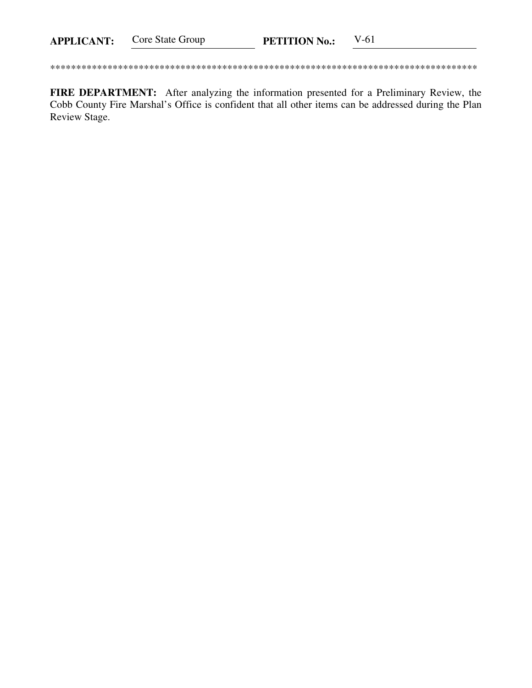Core State Group **PETITION No.:**  $V-61$ **APPLICANT:** 

FIRE DEPARTMENT: After analyzing the information presented for a Preliminary Review, the Cobb County Fire Marshal's Office is confident that all other items can be addressed during the Plan Review Stage.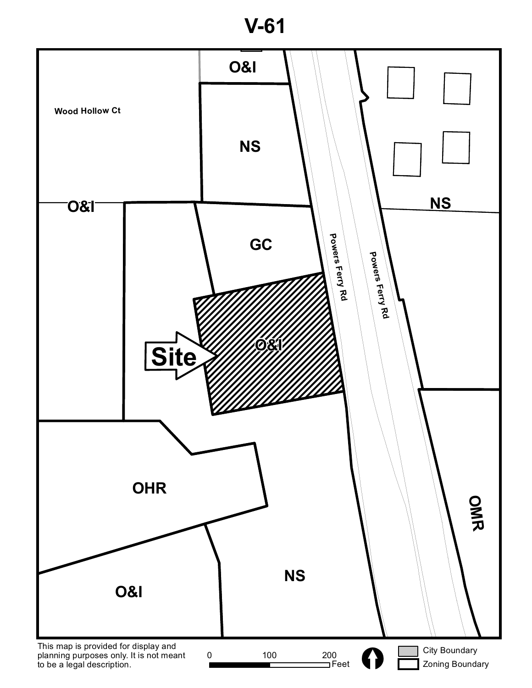**V-61**

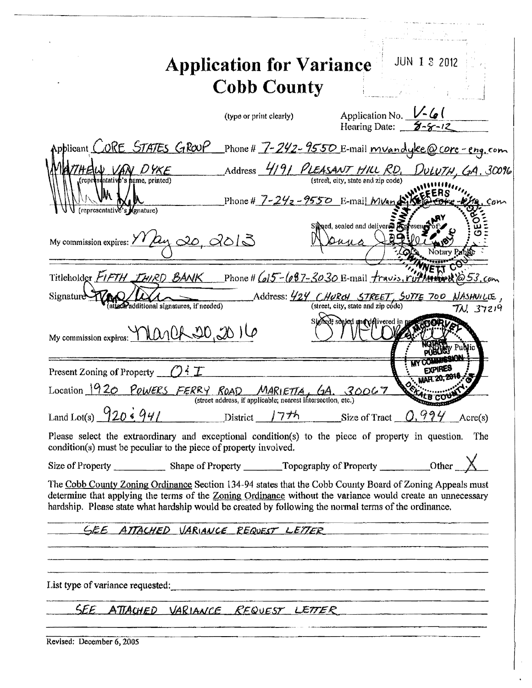| <b>Application for Variance</b>                                                                                                                                                                                                                                                                                                 | <b>JUN 1 3 2012</b>                                                        |
|---------------------------------------------------------------------------------------------------------------------------------------------------------------------------------------------------------------------------------------------------------------------------------------------------------------------------------|----------------------------------------------------------------------------|
| <b>Cobb County</b>                                                                                                                                                                                                                                                                                                              |                                                                            |
| (type or print clearly)                                                                                                                                                                                                                                                                                                         | Application No. $\frac{1}{2}$ $\frac{1}{2}$<br>Hearing Date: $\frac{5}{2}$ |
| Applicant CORE STATES GROUP<br>Phone # $7 - 242 - 9550$ E-mail mvandyke@core-eng.com                                                                                                                                                                                                                                            |                                                                            |
| Address 4191 PLEASANT HILL RD, DULUTH, GA. 30096<br>THEW VAN DYKE<br>(representative's name, printed)<br>(street, city, state and zip code)                                                                                                                                                                                     |                                                                            |
| Phone # $7 - 24 = -9550$ E-mail <i>MVandik</i><br>(representative's <i>Agnature</i> )                                                                                                                                                                                                                                           | . Com                                                                      |
| Signed, sealed and delivered Anteseng<br>My commission expires: $\frac{\gamma \gamma}{\Delta y} \Delta z$ , $\frac{\gamma}{\Delta z}$<br>$2n_{11}$                                                                                                                                                                              | lotary Pri                                                                 |
| Titleholder FIFTH THIRD BANK Phone # (015-687-3030 E-mail fravis, ruthering to 53, com                                                                                                                                                                                                                                          |                                                                            |
| , Address: 424 CHURCH STREET, SUTTE 700 NASHUILIE<br><b>Signature</b><br>(street, city, state and zip code)<br>attach additional signatures, if needed)                                                                                                                                                                         | TN. 37219                                                                  |
| ed; soaled and delivered in pr<br>My commission expires: Manch 20, 2016                                                                                                                                                                                                                                                         |                                                                            |
| Present Zoning of Property $\angle O \in \mathcal{I}$                                                                                                                                                                                                                                                                           | EXPIRES                                                                    |
| Location 1920 POWERS FERRY ROAD MARIETTA, GA. 30067<br>(street address, if applicable; nearest intersection, etc.)                                                                                                                                                                                                              |                                                                            |
| Land Lot(s) $920\cdot 941$<br>$District$ 7 <sup>7</sup> h                                                                                                                                                                                                                                                                       | Size of Tract $0.994$ Acre(s)                                              |
| Please select the extraordinary and exceptional condition(s) to the piece of property in question. The<br>condition(s) must be peculiar to the piece of property involved.                                                                                                                                                      |                                                                            |
|                                                                                                                                                                                                                                                                                                                                 |                                                                            |
| The Cobb County Zoning Ordinance Section 134-94 states that the Cobb County Board of Zoning Appeals must<br>determine that applying the terms of the Zoning Ordinance without the variance would create an unnecessary<br>hardship. Please state what hardship would be created by following the normal terms of the ordinance. |                                                                            |
| <u>SEE ATTACHED VARIANCE REQUEST LETTER</u>                                                                                                                                                                                                                                                                                     |                                                                            |
|                                                                                                                                                                                                                                                                                                                                 |                                                                            |
| List type of variance requested:<br><u>List</u> type of variance requested:                                                                                                                                                                                                                                                     |                                                                            |
| SEE ATTACHED VARIANCE REQUEST LETTER                                                                                                                                                                                                                                                                                            |                                                                            |
|                                                                                                                                                                                                                                                                                                                                 |                                                                            |

| Revised: December 6, 2005 |  |
|---------------------------|--|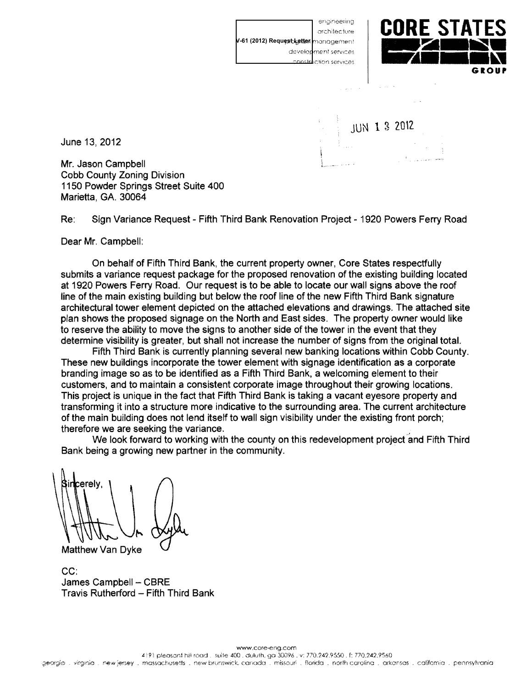enaineetina architecture V-61 (2012) Request Letter management development services mmnete **I**ction services

 $\omega$  ,  $\omega$  ,  $\omega$  ,  $\omega$ 

**JUN 1 3 2012** 



June 13, 2012

Mr. Jason Campbell **Cobb County Zoning Division** 1150 Powder Springs Street Suite 400 Marietta, GA, 30064

 $Re:$ Sign Variance Request - Fifth Third Bank Renovation Project - 1920 Powers Ferry Road

Dear Mr. Campbell:

On behalf of Fifth Third Bank, the current property owner, Core States respectfully submits a variance request package for the proposed renovation of the existing building located at 1920 Powers Ferry Road. Our request is to be able to locate our wall signs above the roof line of the main existing building but below the roof line of the new Fifth Third Bank signature architectural tower element depicted on the attached elevations and drawings. The attached site plan shows the proposed signage on the North and East sides. The property owner would like to reserve the ability to move the signs to another side of the tower in the event that they determine visibility is greater, but shall not increase the number of signs from the original total.

Fifth Third Bank is currently planning several new banking locations within Cobb County. These new buildings incorporate the tower element with signage identification as a corporate branding image so as to be identified as a Fifth Third Bank, a welcoming element to their customers, and to maintain a consistent corporate image throughout their growing locations. This project is unique in the fact that Fifth Third Bank is taking a vacant eyesore property and transforming it into a structure more indicative to the surrounding area. The current architecture of the main building does not lend itself to wall sign visibility under the existing front porch; therefore we are seeking the variance.

We look forward to working with the county on this redevelopment project and Fifth Third Bank being a growing new partner in the community.

cerely,

Matthew Van Dyke

 $CC:$ James Campbell - CBRE Travis Rutherford - Fifth Third Bank